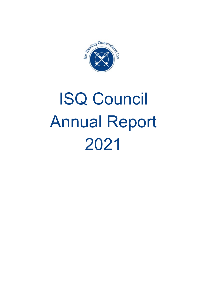

# ISQ Council Annual Report 2021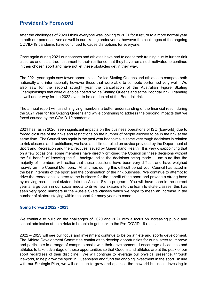# **President's Foreword**

After the challenges of 2020 I think everyone was looking to 2021 for a return to a more normal year in both our personal lives as well in our skating endeavours, however the challenges of the ongoing COVID-19 pandemic have continued to cause disruptions for everyone.

Once again during 2021 our coaches and athletes have had to adapt their training due to further rink closures and it is a true testament to their resilience that they have remained motivated to continue in their chosen sport and have not let these obstacles get in their way.

The 2021 year again saw fewer opportunities for Ice Skating Queensland athletes to compete both nationally and internationally however those that were able to compete performed very well. We also saw for the second straight year the cancellation of the Australian Figure Skating Championships that were due to be hosted by Ice Skating Queensland at the Boondall rink. Planning is well under way for the 2022 event to be conducted at the Boondall rink.

The annual report will assist in giving members a better understanding of the financial result during the 2021 year for Ice Skating Queensland while continuing to address the ongoing impacts that we faced caused by the COVID-19 pandemic.

2021 has, as in 2020, seen significant impacts on the business operations of ISQ (Iceworld) due to forced closures of the rinks and restrictions on the number of people allowed to be in the rink at the same time. The Council has again in the past year had to make some very tough decisions in relation to rink closures and restrictions; we have at all times relied on advice provided by the Department of Sport and Recreation and the Directives issued by Queensland Health. It is very disappointing that on a few occasions, some members have directly criticised the Council on these decisions without the full benefit of knowing the full background to the decisions being made. I am sure that the majority of members will realise that these decisions have been very difficult and have weighed heavily on the Council Members. At all times during this difficult period your Council has acted in the best interests of the sport and the continuation of the rink business. We continue to attempt to drive the recreational skaters to the business for the benefit of the sport and provide a strong base by moving recreational skaters into the Aussie Skate program. You will have seen in the current year a large push in our social media to drive new skaters into the learn to skate classes; this has seen very good numbers in the Aussie Skate classes which we hope to mean an increase in the number of skaters staying within the sport for many years to come.

#### **Going Forward 2022 - 2023**

We continue to build on the challenges of 2020 and 2021 with a focus on increasing public and school admission at both rinks to be able to get back to the Pre-COVID-19 results.

2022 – 2023 will see our focus and investment continue to be on athlete and sports development. The Athlete Development Committee continues to develop opportunities for our skaters to improve and participate in a range of camps to assist with their development. I encourage all coaches and athletes to take advantage of these opportunities so that Queensland athletes are at the peak of our sport regardless of their discipline. We will continue to leverage our physical presence, through Iceworld, to help grow the sport in Queensland and fund the ongoing investment in the sport. In line with our Strategic Plan, we will continue to grow and optimise the Iceworld business, investing in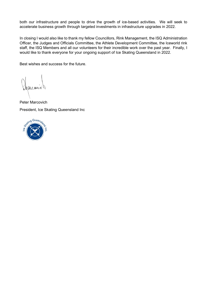both our infrastructure and people to drive the growth of ice-based activities. We will seek to accelerate business growth through targeted investments in infrastructure upgrades in 2022.

In closing I would also like to thank my fellow Councillors, Rink Management, the ISQ Administration Officer, the Judges and Officials Committee, the Athlete Development Committee, the Iceworld rink staff, the ISQ Members and all our volunteers for their incredible work over the past year. Finally, I would like to thank everyone for your ongoing support of Ice Skating Queensland in 2022.

Best wishes and success for the future.

aveaux

Peter Marcovich President, Ice Skating Queensland Inc

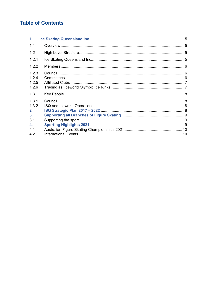# **Table of Contents**

| $\mathbf 1$ .                    |  |
|----------------------------------|--|
| 1.1                              |  |
| 1.2                              |  |
| 1.2.1                            |  |
| 1.2.2                            |  |
| 1.2.3<br>1.2.4<br>1.2.5<br>1.2.6 |  |
| 1.3                              |  |
| 1.3.1<br>1.3.2<br>$2_{-}$<br>3.  |  |
| 3.1<br>4.                        |  |
| 4.1<br>4.2                       |  |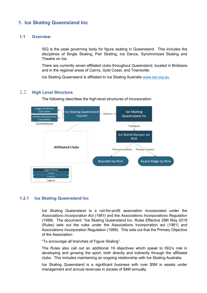# **1. Ice Skating Queensland Inc**

#### **1.1 Overview**

ISQ is the peak governing body for figure skating in Queensland. This includes the disciplines of Single Skating, Pair Skating, Ice Dance, Synchronized Skating and Theatre on Ice.

There are currently seven affiliated clubs throughout Queensland, located in Brisbane and in the regional areas of Cairns, Gold Coast, and Townsville.

Ice Skating Queensland is affiliated to Ice Skating Australia [www.isa.org.au.](http://www.isa.org.au/)

#### 1.2 **High Level Structure**

The following describes the high-level structures of incorporation:



#### **1.2.1 Ice Skating Queensland Inc**

Ice Skating Queensland is a not-for-profit association incorporated under the *Associations Incorporation Act (1981)* and the *Associations Incorporations Regulation (1999)*. The document: "Ice Skating Queensland Inc. Rules Effective 29th May 2019 (Rules) sets out the rules under the Associations Incorporation act (1981) and Associations Incorporation Regulation (1999). This sets out that the Primary Objective of the Association:

"To encourage all branches of Figure Skating".

The Rules also call out an additional 19 objectives which speak to ISQ's role in developing and growing the sport, both directly and indirectly through the affiliated clubs. This includes maintaining an ongoing relationship with Ice Skating Australia.

Ice Skating Queensland is a significant business with over \$5M in assets under management and annual revenues in excess of \$4M annually.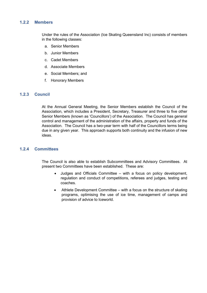#### **1.2.2 Members**

Under the rules of the Association (Ice Skating Queensland Inc) consists of members in the following classes:

- a. Senior Members
- b. Junior Members
- c. Cadet Members
- d. Associate Members
- e. Social Members; and
- f. Honorary Members

#### **1.2.3 Council**

At the Annual General Meeting, the Senior Members establish the Council of the Association, which includes a President, Secretary, Treasurer and three to five other Senior Members (known as 'Councillors') of the Association. The Council has general control and management of the administration of the affairs, property and funds of the Association. The Council has a two-year term with half of the Councillors terms being due in any given year. This approach supports both continuity and the infusion of new ideas.

#### **1.2.4 Committees**

The Council is also able to establish Subcommittees and Advisory Committees. At present two Committees have been established. These are:

- Judges and Officials Committee with a focus on policy development, regulation and conduct of competitions, referees and judges, testing and coaches.
- Athlete Development Committee with a focus on the structure of skating programs, optimising the use of ice time, management of camps and provision of advice to Iceworld.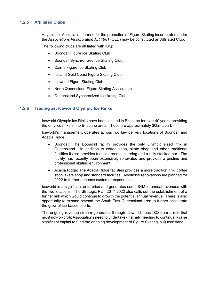#### **1.2.5 Affiliated Clubs**

Any club or Association formed for the promotion of Figure Skating incorporated under the *Associations Incorporation Act 1981* (QLD) may be constituted an Affiliated Club.

The following clubs are affiliated with ISQ:

- Boondall Figure Ice Skating Club
- Boondall Synchronized Ice Skating Club
- Cairns Figure Ice Skating Club
- Iceland Gold Coast Figure Skating Club
- Iceworld Figure Skating Club
- North Queensland Figure Skating Association
- Queensland Synchronized Iceskating Club

#### **1.2.6 Trading as: Iceworld Olympic Ice Rinks**

Iceworld Olympic Ice Rinks have been located in Brisbane for over 40 years, providing the only ice rinks in the Brisbane area. These are approximately 30km apart.

Iceworld's management operates across two key delivery locations of Boondall and Acacia Ridge.

- Boondall: The Boondall facility provides the only Olympic sized rink in Queensland. In addition to coffee shop, skate shop and other traditional facilities it also provides function rooms, catering and a fully stocked bar. The facility has recently been extensively renovated and provides a pristine and professional skating environment.
- Acacia Ridge: The Acacia Ridge facilities provides a more tradition rink, coffee shop, skate shop and standard facilities. Additional renovations are planned for 2022 to further enhance customer experience.

Iceworld is a significant enterprise and generates some \$4M in annual revenues with the two locations. The Strategic Plan 2017-2022 also calls out the establishment of a further rink which would continue to growth the potential annual revenue. There is also opportunity to expand beyond the South-East Queensland area to further accelerate the grow of ice-based sports.

The ongoing revenue stream generated through Iceworld frees ISQ from a role that most not-for-profit Associations need to undertake - namely needing to continually raise significant capital to fund the ongoing development of Figure Skating in Queensland.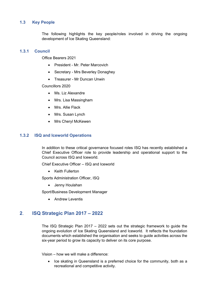### **1.3 Key People**

The following highlights the key people/roles involved in driving the ongoing development of Ice Skating Queensland:

#### **1.3.1 Council**

Office Bearers 2021

- President Mr. Peter Marcovich
- Secretary Mrs Beverley Donaghey
- Treasurer Mr Duncan Unwin

Councillors 2020

- Ms. Liz Alexandre
- Mrs. Lisa Massingham
- Mrs. Allie Flack
- Mrs. Susan Lynch
- Mrs Cheryl McKewen

#### **1.3.2 ISQ and Iceworld Operations**

In addition to these critical governance focused roles ISQ has recently established a Chief Executive Officer role to provide leadership and operational support to the Council across ISQ and Iceworld.

Chief Executive Officer – ISQ and Iceworld

• Keith Fullerton

Sports Administration Officer, ISQ

• Jenny Houlahan

Sport/Business Development Manager

• Andrew Leventis

## **2**. **ISQ Strategic Plan 2017 – 2022**

The ISQ Strategic Plan 2017 – 2022 sets out the strategic framework to guide the ongoing evolution of Ice Skating Queensland and Iceworld. It reflects the foundation documents which established the organisation and seeks to guide activities across the six-year period to grow its capacity to deliver on its core purpose.

Vision – how we will make a difference:

• Ice skating in Queensland is a preferred choice for the community, both as a recreational and competitive activity.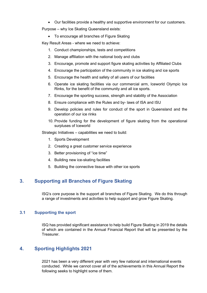• Our facilities provide a healthy and supportive environment for our customers.

Purpose – why Ice Skating Queensland exists:

• To encourage all branches of Figure Skating

Key Result Areas - where we need to achieve:

- 1. Conduct championships, tests and competitions
- 2. Manage affiliation with the national body and clubs
- 3. Encourage, promote and support figure skating activities by Affiliated Clubs
- 4. Encourage the participation of the community in ice skating and ice sports
- 5. Encourage the health and safety of all users of our facilities
- 6. Operate ice skating facilities via our commercial arm, Iceworld Olympic Ice Rinks, for the benefit of the community and all ice sports.
- 7. Encourage the sporting success, strength and stability of the Association
- 8. Ensure compliance with the Rules and by- laws of ISA and ISU
- 9. Develop policies and rules for conduct of the sport in Queensland and the operation of our ice rinks
- 10. Provide funding for the development of figure skating from the operational surpluses of Iceworld

Strategic Initiatives – capabilities we need to build:

- 1. Sports Development
- 2. Creating a great customer service experience
- 3. Better provisioning of "ice time"
- 4. Building new ice-skating facilities
- 5. Building the connective tissue with other ice sports

# **3. Supporting all Branches of Figure Skating**

ISQ's core purpose is the support all branches of Figure Skating. We do this through a range of investments and activities to help support and grow Figure Skating.

#### **3.1 Supporting the sport**

ISQ has provided significant assistance to help build Figure Skating in 2019 the details of which are contained in the Annual Financial Report that will be presented by the Treasurer.

## **4. Sporting Highlights 2021**

2021 has been a very different year with very few national and international events conducted. While we cannot cover all of the achievements in this Annual Report the following seeks to highlight some of them.